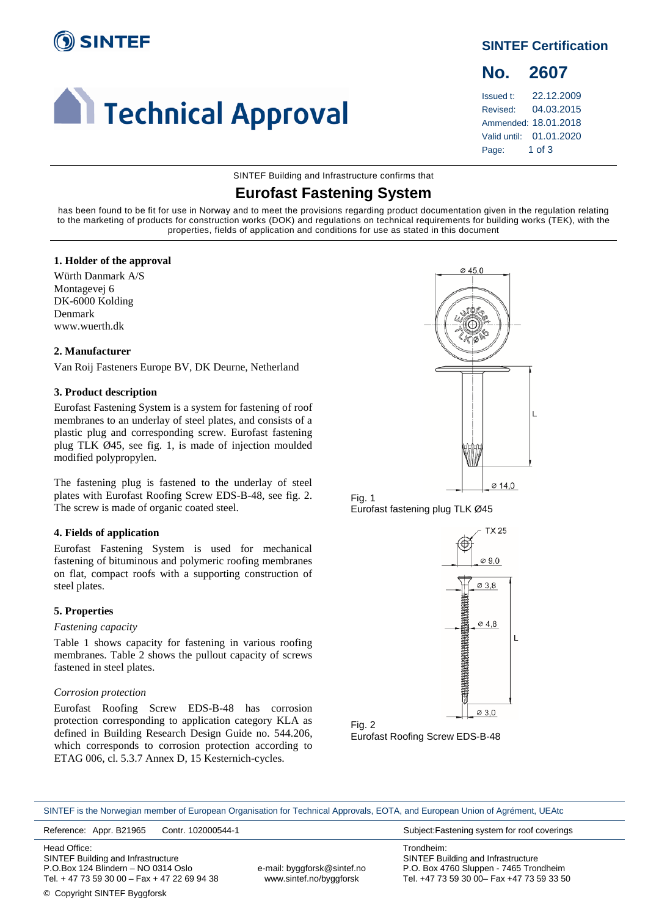

# **Confidence I** Technical Approval

**SINTEF Certification**

## **No. 2607**

Issued t: 22.12.2009 Revised: 04.03.2015 Ammended: 18.01.2018 Valid until: 01.01.2020 Page: 1 of 3

SINTEF Building and Infrastructure confirms that

### **Eurofast Fastening System**

has been found to be fit for use in Norway and to meet the provisions regarding product documentation given in the regulation relating to the marketing of products for construction works (DOK) and regulations on technical requirements for building works (TEK), with the properties, fields of application and conditions for use as stated in this document

#### **1. Holder of the approval**

Würth Danmark A/S Montagevej 6 DK-6000 Kolding Denmark www.wuerth.dk

#### **2. Manufacturer**

Van Roij Fasteners Europe BV, DK Deurne, Netherland

#### **3. Product description**

Eurofast Fastening System is a system for fastening of roof membranes to an underlay of steel plates, and consists of a plastic plug and corresponding screw. Eurofast fastening plug TLK Ø45, see fig. 1, is made of injection moulded modified polypropylen.

The fastening plug is fastened to the underlay of steel plates with Eurofast Roofing Screw EDS-B-48, see fig. 2. The screw is made of organic coated steel.

#### **4. Fields of application**

Eurofast Fastening System is used for mechanical fastening of bituminous and polymeric roofing membranes on flat, compact roofs with a supporting construction of steel plates.

#### **5. Properties**

#### *Fastening capacity*

Table 1 shows capacity for fastening in various roofing membranes. Table 2 shows the pullout capacity of screws fastened in steel plates.

#### *Corrosion protection*

Eurofast Roofing Screw EDS-B-48 has corrosion protection corresponding to application category KLA as defined in Building Research Design Guide no. 544.206, which corresponds to corrosion protection according to ETAG 006, cl. 5.3.7 Annex D, 15 Kesternich-cycles.







Fig. 2 Eurofast Roofing Screw EDS-B-48

SINTEF is the Norwegian member of European Organisation for Technical Approvals, EOTA, and European Union of Agrément, UEAtc

Reference: Appr. B21965 Contr. 102000544-1 Subject:Fastening system for roof coverings

Head Office: SINTEF Building and Infrastructure P.O.Box 124 Blindern – NO 0314 Oslo Tel. + 47 73 59 30 00 – Fax + 47 22 69 94 38

e-mail: byggforsk@sintef.no www.sintef.no/byggforsk

Trondheim: SINTEF Building and Infrastructure P.O. Box 4760 Sluppen - 7465 Trondheim Tel. +47 73 59 30 00– Fax +47 73 59 33 50

© Copyright SINTEF Byggforsk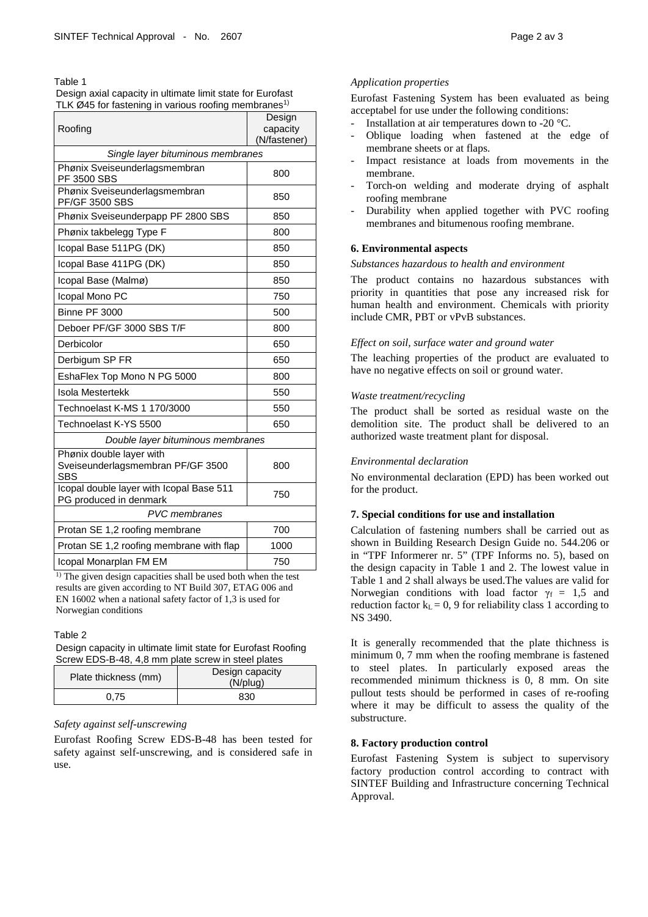Table 1

Design axial capacity in ultimate limit state for Eurofast TLK Ø45 for fastening in various roofing membranes<sup>1)</sup>

| Roofing                                                                     | Design<br>capacity |  |
|-----------------------------------------------------------------------------|--------------------|--|
|                                                                             | (N/fastener)       |  |
| Single layer bituminous membranes                                           |                    |  |
| Phønix Sveiseunderlagsmembran<br>PF 3500 SBS                                | 800                |  |
| Phønix Sveiseunderlagsmembran<br><b>PF/GF 3500 SBS</b>                      | 850                |  |
| Phønix Sveiseunderpapp PF 2800 SBS                                          | 850                |  |
| Phønix takbelegg Type F                                                     | 800                |  |
| Icopal Base 511PG (DK)                                                      | 850                |  |
| Icopal Base 411PG (DK)                                                      | 850                |  |
| Icopal Base (Malmø)                                                         | 850                |  |
| Icopal Mono PC                                                              | 750                |  |
| <b>Binne PF 3000</b>                                                        | 500                |  |
| Deboer PF/GF 3000 SBS T/F                                                   | 800                |  |
| Derbicolor                                                                  | 650                |  |
| Derbigum SP FR                                                              | 650                |  |
| EshaFlex Top Mono N PG 5000                                                 | 800                |  |
| <b>Isola Mestertekk</b>                                                     | 550                |  |
| Technoelast K-MS 1 170/3000                                                 | 550                |  |
| Technoelast K-YS 5500                                                       | 650                |  |
| Double layer bituminous membranes                                           |                    |  |
| Phønix double layer with<br>Sveiseunderlagsmembran PF/GF 3500<br><b>SBS</b> | 800                |  |
| Icopal double layer with Icopal Base 511<br>PG produced in denmark          | 750                |  |
| <b>PVC</b> membranes                                                        |                    |  |
| Protan SE 1,2 roofing membrane                                              | 700                |  |
| Protan SE 1,2 roofing membrane with flap                                    | 1000               |  |
| Icopal Monarplan FM EM                                                      | 750                |  |

<sup>1)</sup> The given design capacities shall be used both when the test results are given according to NT Build 307, ETAG 006 and EN 16002 when a national safety factor of 1,3 is used for Norwegian conditions

Table 2

Design capacity in ultimate limit state for Eurofast Roofing Screw EDS-B-48, 4,8 mm plate screw in steel plates

| Plate thickness (mm) | Design capacity<br>$(N/$ plug $)$ |
|----------------------|-----------------------------------|
| 0.75                 | 830                               |

#### *Safety against self-unscrewing*

Eurofast Roofing Screw EDS-B-48 has been tested for safety against self-unscrewing, and is considered safe in use.

#### *Application properties*

Eurofast Fastening System has been evaluated as being acceptabel for use under the following conditions:

- Installation at air temperatures down to -20 °C.
- Oblique loading when fastened at the edge of membrane sheets or at flaps.
- Impact resistance at loads from movements in the membrane.
- Torch-on welding and moderate drying of asphalt roofing membrane
- Durability when applied together with PVC roofing membranes and bitumenous roofing membrane.

#### **6. Environmental aspects**

#### *Substances hazardous to health and environment*

The product contains no hazardous substances with priority in quantities that pose any increased risk for human health and environment. Chemicals with priority include CMR, PBT or vPvB substances.

#### *Effect on soil, surface water and ground water*

The leaching properties of the product are evaluated to have no negative effects on soil or ground water.

#### *Waste treatment/recycling*

The product shall be sorted as residual waste on the demolition site. The product shall be delivered to an authorized waste treatment plant for disposal.

#### *Environmental declaration*

No environmental declaration (EPD) has been worked out for the product.

#### **7. Special conditions for use and installation**

Calculation of fastening numbers shall be carried out as shown in Building Research Design Guide no. 544.206 or in "TPF Informerer nr. 5" (TPF Informs no. 5), based on the design capacity in Table 1 and 2. The lowest value in Table 1 and 2 shall always be used.The values are valid for Norwegian conditions with load factor  $\gamma_f = 1.5$  and reduction factor  $k<sub>L</sub> = 0$ , 9 for reliability class 1 according to NS 3490.

It is generally recommended that the plate thichness is minimum 0, 7 mm when the roofing membrane is fastened to steel plates. In particularly exposed areas the recommended minimum thickness is 0, 8 mm. On site pullout tests should be performed in cases of re-roofing where it may be difficult to assess the quality of the substructure.

#### **8. Factory production control**

Eurofast Fastening System is subject to supervisory factory production control according to contract with SINTEF Building and Infrastructure concerning Technical Approval.